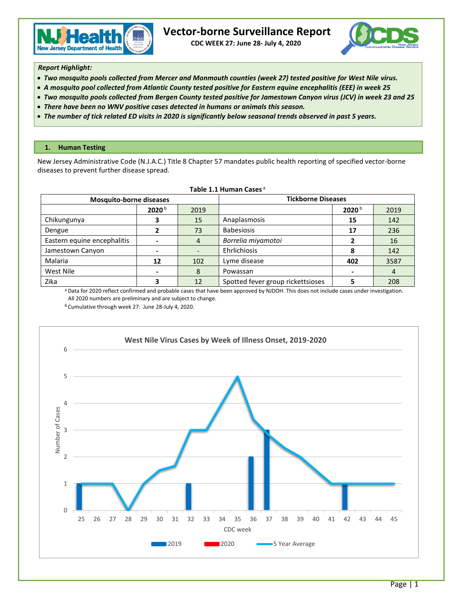

 **CDC WEEK 27: June 28- July 4, 2020**



#### *Report Highlight:*

- *Two mosquito pools collected from Mercer and Monmouth counties (week 27) tested positive for West Nile virus.*
- *A mosquito pool collected from Atlantic County tested positive for Eastern equine encephalitis (EEE) in week 25*
- *Two mosquito pools collected from Bergen County tested positive for Jamestown Canyon virus (JCV) in week 23 and 25*
- *There have been no WNV positive cases detected in humans or animals this season.*
- *The number of tick related ED visits in 2020 is significantly below seasonal trends observed in past 5 years.*

## **1. Human Testing**

New Jersey Administrative Code (N.J.A.C.) Title 8 Chapter 57 mandates public health reporting of specified vector-borne diseases to prevent further disease spread.

| TODIC 1.1 TIUTIOIT COSCS       |                   |      |                                   |                   |      |  |  |  |  |
|--------------------------------|-------------------|------|-----------------------------------|-------------------|------|--|--|--|--|
| <b>Mosquito-borne diseases</b> |                   |      | <b>Tickborne Diseases</b>         |                   |      |  |  |  |  |
|                                | 2020 <sup>b</sup> | 2019 |                                   | 2020 <sup>b</sup> | 2019 |  |  |  |  |
| Chikungunya                    |                   | 15   | Anaplasmosis                      | 15                | 142  |  |  |  |  |
| Dengue                         |                   | 73   | <b>Babesiosis</b>                 | 17                | 236  |  |  |  |  |
| Eastern equine encephalitis    |                   | 4    | Borrelia miyamotoi                | 16                |      |  |  |  |  |
| Jamestown Canyon               |                   |      | Ehrlichiosis                      | 8                 | 142  |  |  |  |  |
| Malaria                        | 12                | 102  | Lyme disease                      | 402               | 3587 |  |  |  |  |
| West Nile                      |                   | 8    | Powassan                          |                   | 4    |  |  |  |  |
| Zika                           |                   | 12   | Spotted fever group rickettsioses |                   | 208  |  |  |  |  |

#### **Table 1.1 Human Cases** <sup>a</sup>

a Data for 2020 reflect confirmed and probable cases that have been approved by NJDOH. This does not include cases under investigation. All 2020 numbers are preliminary and are subject to change.

<sup>b</sup> Cumulative through week 27: June 28-July 4, 2020.

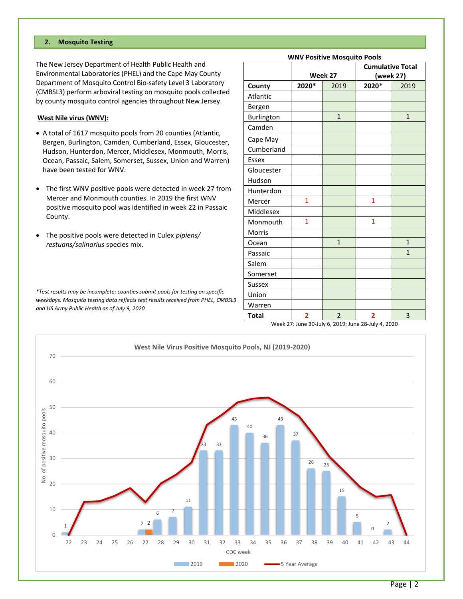# **2. Mosquito Testing**

The New Jersey Department of Health Public Health and Environmental Laboratories (PHEL) and the Cape May County Department of Mosquito Control Bio-safety Level 3 Laboratory (CMBSL3) perform arboviral testing on mosquito pools collected by county mosquito control agencies throughout New Jersey.

#### **West Nile virus (WNV):**

- A total of 1617 mosquito pools from 20 counties (Atlantic, Bergen, Burlington, Camden, Cumberland, Essex, Gloucester, Hudson, Hunterdon, Mercer, Middlesex, Monmouth, Morris, Ocean, Passaic, Salem, Somerset, Sussex, Union and Warren) have been tested for WNV.
- The first WNV positive pools were detected in week 27 from Mercer and Monmouth counties. In 2019 the first WNV positive mosquito pool was identified in week 22 in Passaic County.
- The positive pools were detected in Culex *pipiens/ restuans/salinarius* species mix.

*\*Test results may be incomplete; counties submit pools for testing on specific weekdays. Mosquito testing data reflects test results received from PHEL, CMBSL3 and US Army Public Health as of July 9, 2020*

|              |              | Week 27        | <b>Cumulative Total</b><br>(week 27) |              |  |  |
|--------------|--------------|----------------|--------------------------------------|--------------|--|--|
|              |              |                |                                      |              |  |  |
| County       | 2020*        | 2019           | 2020*                                | 2019         |  |  |
| Atlantic     |              |                |                                      |              |  |  |
| Bergen       |              |                |                                      |              |  |  |
| Burlington   |              | $\mathbf{1}$   |                                      | $\mathbf{1}$ |  |  |
| Camden       |              |                |                                      |              |  |  |
| Cape May     |              |                |                                      |              |  |  |
| Cumberland   |              |                |                                      |              |  |  |
| <b>Essex</b> |              |                |                                      |              |  |  |
| Gloucester   |              |                |                                      |              |  |  |
| Hudson       |              |                |                                      |              |  |  |
| Hunterdon    |              |                |                                      |              |  |  |
| Mercer       | $\mathbf{1}$ |                | $\mathbf{1}$                         |              |  |  |
| Middlesex    |              |                |                                      |              |  |  |
| Monmouth     | $\mathbf{1}$ |                | $\mathbf{1}$                         |              |  |  |
| Morris       |              |                |                                      |              |  |  |
| Ocean        |              | $\mathbf{1}$   |                                      | $\mathbf{1}$ |  |  |
| Passaic      |              |                |                                      | $\mathbf{1}$ |  |  |
| Salem        |              |                |                                      |              |  |  |
| Somerset     |              |                |                                      |              |  |  |
| Sussex       |              |                |                                      |              |  |  |
| Union        |              |                |                                      |              |  |  |
| Warren       |              |                |                                      |              |  |  |
| <b>Total</b> | 2            | $\overline{2}$ | $\overline{2}$                       | 3            |  |  |

#### **WNV Positive Mosquito Pools**

Week 27: June 30-July 6, 2019; June 28-July 4, 2020

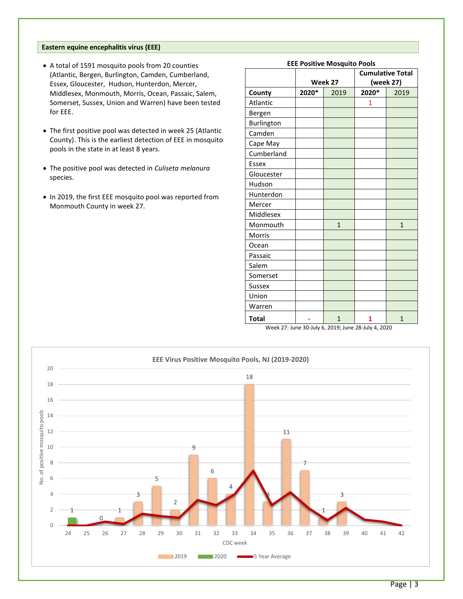## **Eastern equine encephalitis virus (EEE)**

- A total of 1591 mosquito pools from 20 counties (Atlantic, Bergen, Burlington, Camden, Cumberland, Essex, Gloucester, Hudson, Hunterdon, Mercer, Middlesex, Monmouth, Morris, Ocean, Passaic, Salem, Somerset, Sussex, Union and Warren) have been tested for EEE.
- The first positive pool was detected in week 25 (Atlantic County). This is the earliest detection of EEE in mosquito pools in the state in at least 8 years.
- The positive pool was detected in *Culiseta melanura* species.
- In 2019, the first EEE mosquito pool was reported from Monmouth County in week 27.

| counties         |                                                     |       | LLL FUSILIVE IVIUSYUILU FUUIS |              |              |  |  |  |
|------------------|-----------------------------------------------------|-------|-------------------------------|--------------|--------------|--|--|--|
| umberland,       | <b>Cumulative Total</b>                             |       |                               |              |              |  |  |  |
| Mercer,          |                                                     |       | Week 27                       | (week 27)    |              |  |  |  |
| assaic, Salem,   | County                                              | 2020* | 2019                          | 2020*        | 2019         |  |  |  |
| ive been tested  | Atlantic                                            |       |                               | $\mathbf{1}$ |              |  |  |  |
|                  | Bergen                                              |       |                               |              |              |  |  |  |
|                  | Burlington                                          |       |                               |              |              |  |  |  |
| eek 25 (Atlantic | Camden                                              |       |                               |              |              |  |  |  |
| EEE in mosquito  | Cape May                                            |       |                               |              |              |  |  |  |
|                  | Cumberland                                          |       |                               |              |              |  |  |  |
| ta melanura      | Essex                                               |       |                               |              |              |  |  |  |
|                  | Gloucester                                          |       |                               |              |              |  |  |  |
|                  | Hudson                                              |       |                               |              |              |  |  |  |
| reported from    | Hunterdon                                           |       |                               |              |              |  |  |  |
|                  | Mercer                                              |       |                               |              |              |  |  |  |
|                  | Middlesex                                           |       |                               |              |              |  |  |  |
|                  | Monmouth                                            |       | $\mathbf{1}$                  |              | $\mathbf{1}$ |  |  |  |
|                  | Morris                                              |       |                               |              |              |  |  |  |
|                  | Ocean                                               |       |                               |              |              |  |  |  |
|                  | Passaic                                             |       |                               |              |              |  |  |  |
|                  | Salem                                               |       |                               |              |              |  |  |  |
|                  | Somerset                                            |       |                               |              |              |  |  |  |
|                  | <b>Sussex</b>                                       |       |                               |              |              |  |  |  |
|                  | Union                                               |       |                               |              |              |  |  |  |
|                  | Warren                                              |       |                               |              |              |  |  |  |
|                  | <b>Total</b>                                        |       | $\mathbf{1}$                  | 1            | $\mathbf{1}$ |  |  |  |
|                  | Week 27: June 30-July 6, 2019; June 28-July 4, 2020 |       |                               |              |              |  |  |  |



#### **EEE Positive Mosquito Pools**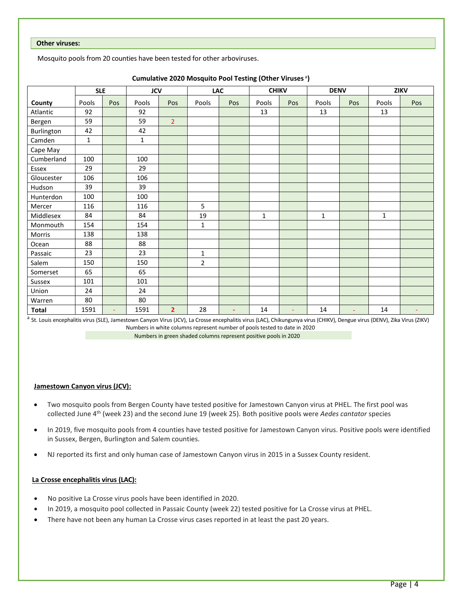## **Other viruses:**

Mosquito pools from 20 counties have been tested for other arboviruses.

|            | <b>SLE</b>   |                             | <b>JCV</b> |                | LAC            |        | <b>CHIKV</b> |                          | <b>DENV</b>  |        | ZIKV         |        |
|------------|--------------|-----------------------------|------------|----------------|----------------|--------|--------------|--------------------------|--------------|--------|--------------|--------|
| County     | Pools        | Pos                         | Pools      | Pos            | Pools          | Pos    | Pools        | Pos                      | Pools        | Pos    | Pools        | Pos    |
| Atlantic   | 92           |                             | 92         |                |                |        | 13           |                          | 13           |        | 13           |        |
| Bergen     | 59           |                             | 59         | $\overline{2}$ |                |        |              |                          |              |        |              |        |
| Burlington | 42           |                             | 42         |                |                |        |              |                          |              |        |              |        |
| Camden     | $\mathbf{1}$ |                             | 1          |                |                |        |              |                          |              |        |              |        |
| Cape May   |              |                             |            |                |                |        |              |                          |              |        |              |        |
| Cumberland | 100          |                             | 100        |                |                |        |              |                          |              |        |              |        |
| Essex      | 29           |                             | 29         |                |                |        |              |                          |              |        |              |        |
| Gloucester | 106          |                             | 106        |                |                |        |              |                          |              |        |              |        |
| Hudson     | 39           |                             | 39         |                |                |        |              |                          |              |        |              |        |
| Hunterdon  | 100          |                             | 100        |                |                |        |              |                          |              |        |              |        |
| Mercer     | 116          |                             | 116        |                | 5              |        |              |                          |              |        |              |        |
| Middlesex  | 84           |                             | 84         |                | 19             |        | $\mathbf{1}$ |                          | $\mathbf{1}$ |        | $\mathbf{1}$ |        |
| Monmouth   | 154          |                             | 154        |                | $\mathbf 1$    |        |              |                          |              |        |              |        |
| Morris     | 138          |                             | 138        |                |                |        |              |                          |              |        |              |        |
| Ocean      | 88           |                             | 88         |                |                |        |              |                          |              |        |              |        |
| Passaic    | 23           |                             | 23         |                | 1              |        |              |                          |              |        |              |        |
| Salem      | 150          |                             | 150        |                | $\overline{2}$ |        |              |                          |              |        |              |        |
| Somerset   | 65           |                             | 65         |                |                |        |              |                          |              |        |              |        |
| Sussex     | 101          |                             | 101        |                |                |        |              |                          |              |        |              |        |
| Union      | 24           |                             | 24         |                |                |        |              |                          |              |        |              |        |
| Warren     | 80           |                             | 80         |                |                |        |              |                          |              |        |              |        |
| Total      | 1591         | $\mathcal{L}_{\mathcal{A}}$ | 1591       | $\overline{2}$ | 28             | $\sim$ | 14           | $\overline{\phantom{a}}$ | 14           | $\sim$ | 14           | $\sim$ |

# Cumulative 2020 Mosquito Pool Testing (Other Viruses<sup>a</sup>)

<sup>a</sup> St. Louis encephalitis virus (SLE), Jamestown Canyon Virus (JCV), La Crosse encephalitis virus (LAC), Chikungunya virus (CHIKV), Dengue virus (DENV), Zika Virus (ZIKV) Numbers in white columns represent number of pools tested to date in 2020

Numbers in green shaded columns represent positive pools in 2020

# **Jamestown Canyon virus (JCV):**

- Two mosquito pools from Bergen County have tested positive for Jamestown Canyon virus at PHEL. The first pool was collected June 4th (week 23) and the second June 19 (week 25). Both positive pools were *Aedes cantator* species
- In 2019, five mosquito pools from 4 counties have tested positive for Jamestown Canyon virus. Positive pools were identified in Sussex, Bergen, Burlington and Salem counties.
- NJ reported its first and only human case of Jamestown Canyon virus in 2015 in a Sussex County resident.

# **La Crosse encephalitis virus (LAC):**

- No positive La Crosse virus pools have been identified in 2020.
- In 2019, a mosquito pool collected in Passaic County (week 22) tested positive for La Crosse virus at PHEL.
- There have not been any human La Crosse virus cases reported in at least the past 20 years.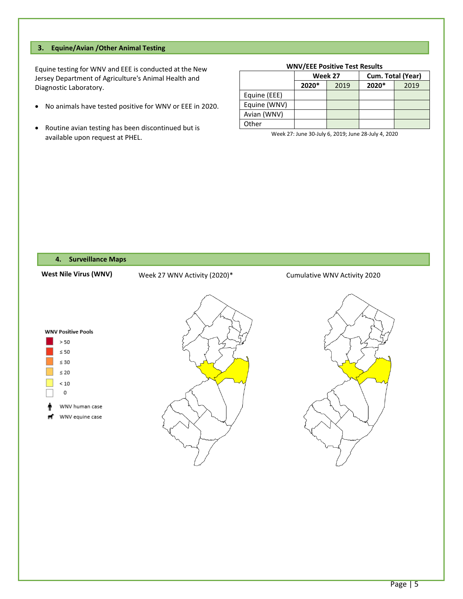## **3. Equine/Avian /Other Animal Testing**

Equine testing for WNV and EEE is conducted at the New Jersey Department of Agriculture's Animal Health and Diagnostic Laboratory.

- No animals have tested positive for WNV or EEE in 2020.
- Routine avian testing has been discontinued but is available upon request at PHEL.

#### **WNV/EEE Positive Test Results**

|              |       | Week 27 | Cum. Total (Year) |      |  |  |
|--------------|-------|---------|-------------------|------|--|--|
|              | 2020* | 2019    | 2020*             | 2019 |  |  |
| Equine (EEE) |       |         |                   |      |  |  |
| Equine (WNV) |       |         |                   |      |  |  |
| Avian (WNV)  |       |         |                   |      |  |  |
| Other        |       |         |                   |      |  |  |

Week 27: June 30-July 6, 2019; June 28-July 4, 2020

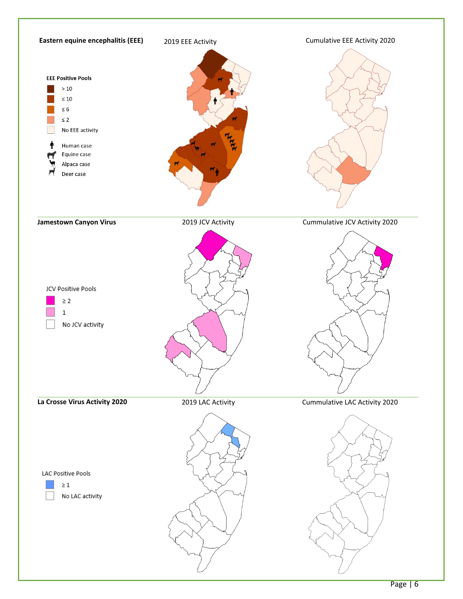